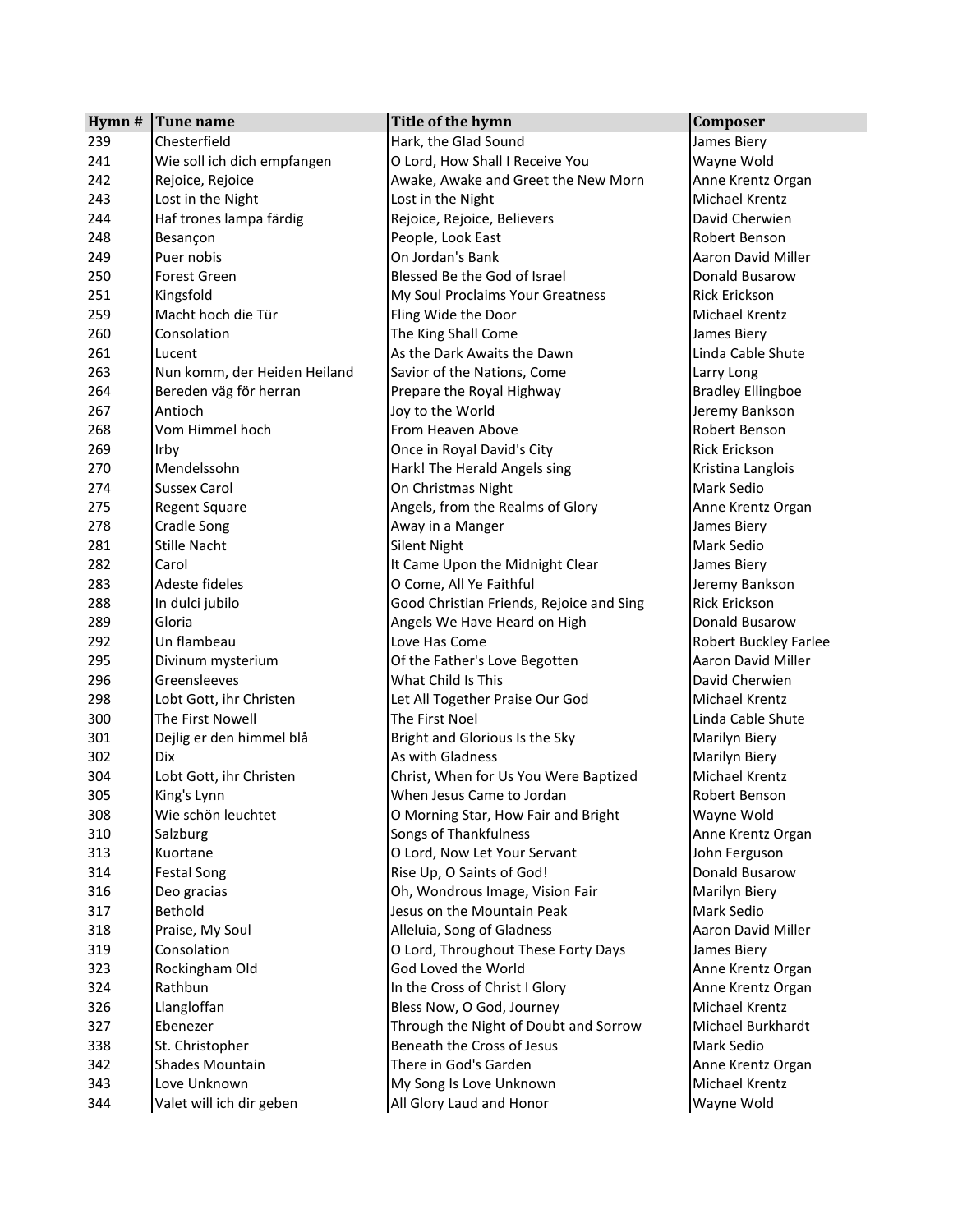| Hymn # | Tune name                    | Title of the hymn                        | Composer                     |  |
|--------|------------------------------|------------------------------------------|------------------------------|--|
| 239    | Chesterfield                 | Hark, the Glad Sound                     | James Biery                  |  |
| 241    | Wie soll ich dich empfangen  | O Lord, How Shall I Receive You          | Wayne Wold                   |  |
| 242    | Rejoice, Rejoice             | Awake, Awake and Greet the New Morn      | Anne Krentz Organ            |  |
| 243    | Lost in the Night            | Lost in the Night                        | <b>Michael Krentz</b>        |  |
| 244    | Haf trones lampa färdig      | Rejoice, Rejoice, Believers              | David Cherwien               |  |
| 248    | Besançon                     | People, Look East                        | Robert Benson                |  |
| 249    | Puer nobis                   | On Jordan's Bank                         | Aaron David Miller           |  |
| 250    | Forest Green                 | Blessed Be the God of Israel             | Donald Busarow               |  |
| 251    | Kingsfold                    | My Soul Proclaims Your Greatness         | <b>Rick Erickson</b>         |  |
| 259    | Macht hoch die Tür           | Fling Wide the Door                      | Michael Krentz               |  |
| 260    | Consolation                  | The King Shall Come                      | James Biery                  |  |
| 261    | Lucent                       | As the Dark Awaits the Dawn              | Linda Cable Shute            |  |
| 263    | Nun komm, der Heiden Heiland | Savior of the Nations, Come              | Larry Long                   |  |
| 264    | Bereden väg för herran       | Prepare the Royal Highway                | <b>Bradley Ellingboe</b>     |  |
| 267    | Antioch                      | Joy to the World                         | Jeremy Bankson               |  |
| 268    | Vom Himmel hoch              | From Heaven Above                        | Robert Benson                |  |
| 269    | Irby                         | Once in Royal David's City               | <b>Rick Erickson</b>         |  |
| 270    | Mendelssohn                  | Hark! The Herald Angels sing             | Kristina Langlois            |  |
| 274    | <b>Sussex Carol</b>          | On Christmas Night                       | Mark Sedio                   |  |
| 275    | <b>Regent Square</b>         | Angels, from the Realms of Glory         | Anne Krentz Organ            |  |
| 278    | <b>Cradle Song</b>           | Away in a Manger                         | James Biery                  |  |
| 281    | <b>Stille Nacht</b>          | <b>Silent Night</b>                      | Mark Sedio                   |  |
| 282    | Carol                        | It Came Upon the Midnight Clear          | James Biery                  |  |
| 283    | Adeste fideles               | O Come, All Ye Faithful                  | Jeremy Bankson               |  |
| 288    | In dulci jubilo              | Good Christian Friends, Rejoice and Sing | <b>Rick Erickson</b>         |  |
| 289    | Gloria                       | Angels We Have Heard on High             | Donald Busarow               |  |
| 292    | Un flambeau                  | Love Has Come                            | <b>Robert Buckley Farlee</b> |  |
| 295    | Divinum mysterium            | Of the Father's Love Begotten            | Aaron David Miller           |  |
| 296    | Greensleeves                 | What Child Is This                       | David Cherwien               |  |
| 298    | Lobt Gott, ihr Christen      | Let All Together Praise Our God          | Michael Krentz               |  |
| 300    | The First Nowell             | The First Noel                           | Linda Cable Shute            |  |
| 301    | Dejlig er den himmel blå     | Bright and Glorious Is the Sky           | Marilyn Biery                |  |
| 302    | Dix                          | As with Gladness                         | Marilyn Biery                |  |
| 304    | Lobt Gott, ihr Christen      | Christ, When for Us You Were Baptized    | <b>Michael Krentz</b>        |  |
| 305    | King's Lynn                  | When Jesus Came to Jordan                | Robert Benson                |  |
| 308    | Wie schön leuchtet           | O Morning Star, How Fair and Bright      | Wayne Wold                   |  |
| 310    | Salzburg                     | Songs of Thankfulness                    | Anne Krentz Organ            |  |
| 313    | Kuortane                     | O Lord, Now Let Your Servant             | John Ferguson                |  |
| 314    | <b>Festal Song</b>           | Rise Up, O Saints of God!                | Donald Busarow               |  |
| 316    | Deo gracias                  | Oh, Wondrous Image, Vision Fair          | Marilyn Biery                |  |
| 317    | Bethold                      | Jesus on the Mountain Peak               | Mark Sedio                   |  |
| 318    | Praise, My Soul              | Alleluia, Song of Gladness               | Aaron David Miller           |  |
| 319    | Consolation                  | O Lord, Throughout These Forty Days      | James Biery                  |  |
| 323    | Rockingham Old               | God Loved the World                      | Anne Krentz Organ            |  |
| 324    | Rathbun                      | In the Cross of Christ I Glory           | Anne Krentz Organ            |  |
| 326    | Llangloffan                  | Bless Now, O God, Journey                | Michael Krentz               |  |
| 327    | Ebenezer                     | Through the Night of Doubt and Sorrow    | Michael Burkhardt            |  |
| 338    | St. Christopher              | Beneath the Cross of Jesus               | Mark Sedio                   |  |
| 342    | Shades Mountain              | There in God's Garden                    | Anne Krentz Organ            |  |
| 343    | Love Unknown                 | My Song Is Love Unknown                  | Michael Krentz               |  |
| 344    | Valet will ich dir geben     | All Glory Laud and Honor                 | Wayne Wold                   |  |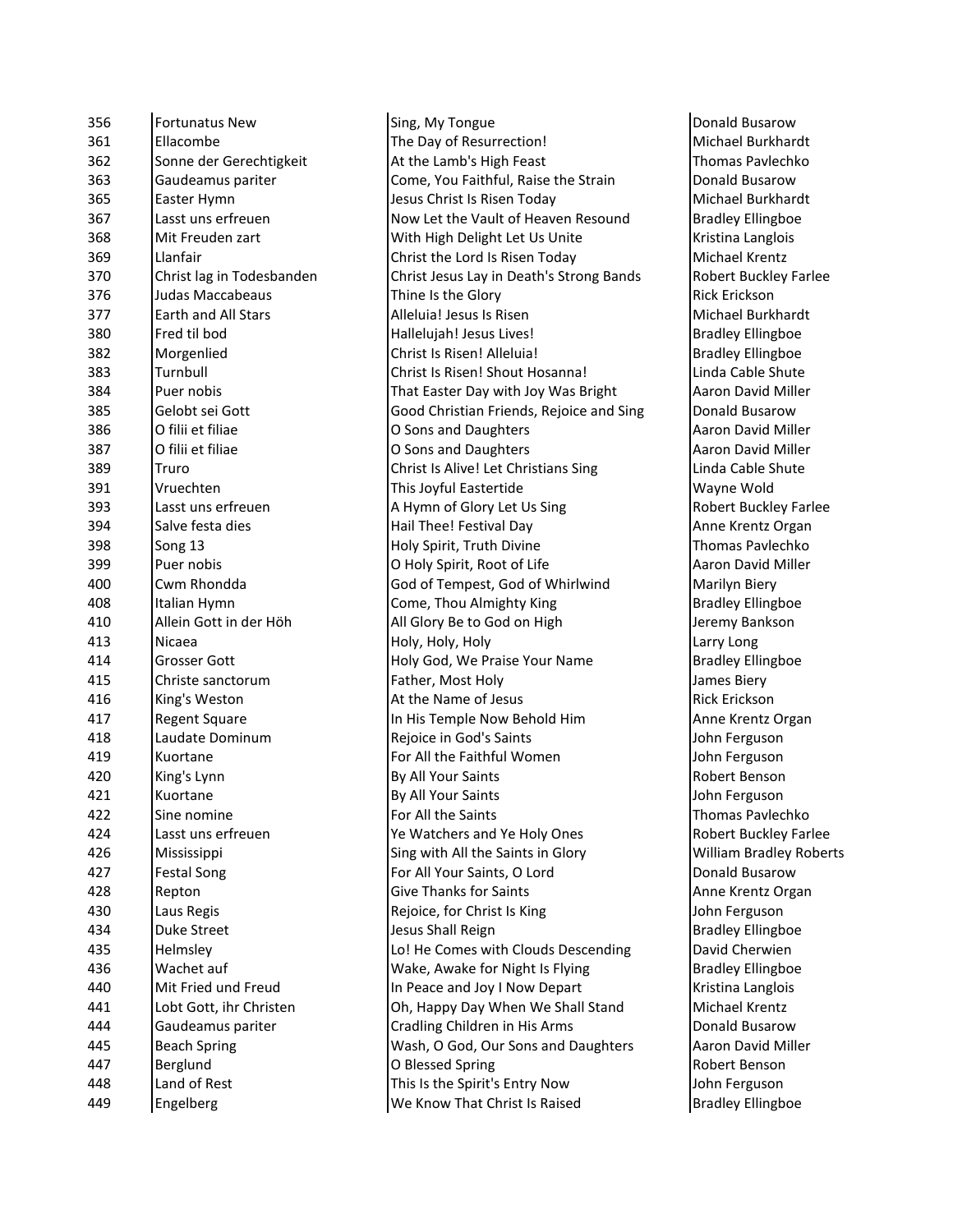| 356 | <b>Fortunatus New</b>     | Sing, My Tongue                          | Donald Busarow           |
|-----|---------------------------|------------------------------------------|--------------------------|
| 361 | Ellacombe                 | The Day of Resurrection!                 | Michael Burkhard         |
| 362 | Sonne der Gerechtigkeit   | At the Lamb's High Feast                 | <b>Thomas Pavlechko</b>  |
| 363 | Gaudeamus pariter         | Come, You Faithful, Raise the Strain     | Donald Busarow           |
| 365 | Easter Hymn               | Jesus Christ Is Risen Today              | Michael Burkhard         |
| 367 | Lasst uns erfreuen        | Now Let the Vault of Heaven Resound      | <b>Bradley Ellingboe</b> |
| 368 | Mit Freuden zart          | With High Delight Let Us Unite           | Kristina Langlois        |
| 369 | Llanfair                  | Christ the Lord Is Risen Today           | Michael Krentz           |
| 370 | Christ lag in Todesbanden | Christ Jesus Lay in Death's Strong Bands | Robert Buckley Fa        |
| 376 | Judas Maccabeaus          | Thine Is the Glory                       | Rick Erickson            |
| 377 | Earth and All Stars       | Alleluia! Jesus Is Risen                 | Michael Burkhard         |
| 380 | Fred til bod              | Hallelujah! Jesus Lives!                 | <b>Bradley Ellingboe</b> |
| 382 | Morgenlied                | Christ Is Risen! Alleluia!               | <b>Bradley Ellingboe</b> |
| 383 | Turnbull                  | Christ Is Risen! Shout Hosanna!          | Linda Cable Shute        |
| 384 | Puer nobis                | That Easter Day with Joy Was Bright      | Aaron David Mille        |
| 385 | Gelobt sei Gott           | Good Christian Friends, Rejoice and Sing | Donald Busarow           |
| 386 | O filii et filiae         | O Sons and Daughters                     | <b>Aaron David Mille</b> |
| 387 | O filii et filiae         | O Sons and Daughters                     | Aaron David Mille        |
| 389 | Truro                     | Christ Is Alive! Let Christians Sing     | Linda Cable Shute        |
| 391 | Vruechten                 | This Joyful Eastertide                   | Wayne Wold               |
| 393 | Lasst uns erfreuen        | A Hymn of Glory Let Us Sing              | Robert Buckley Fa        |
| 394 | Salve festa dies          | Hail Thee! Festival Day                  | Anne Krentz Orga         |
| 398 | Song 13                   | Holy Spirit, Truth Divine                | <b>Thomas Pavlechko</b>  |
| 399 | Puer nobis                | O Holy Spirit, Root of Life              | Aaron David Mille        |
| 400 | Cwm Rhondda               | God of Tempest, God of Whirlwind         | Marilyn Biery            |
| 408 | Italian Hymn              | Come, Thou Almighty King                 | <b>Bradley Ellingboe</b> |
| 410 | Allein Gott in der Höh    | All Glory Be to God on High              | Jeremy Bankson           |
| 413 | Nicaea                    | Holy, Holy, Holy                         | Larry Long               |
| 414 | Grosser Gott              | Holy God, We Praise Your Name            | <b>Bradley Ellingboe</b> |
| 415 | Christe sanctorum         | Father, Most Holy                        | James Biery              |
| 416 | King's Weston             | At the Name of Jesus                     | <b>Rick Erickson</b>     |
| 417 | <b>Regent Square</b>      | In His Temple Now Behold Him             | Anne Krentz Orga         |
| 418 | Laudate Dominum           | Rejoice in God's Saints                  | John Ferguson            |
| 419 | Kuortane                  | For All the Faithful Women               | John Ferguson            |
| 420 | King's Lynn               | By All Your Saints                       | Robert Benson            |
| 421 | Kuortane                  | By All Your Saints                       | John Ferguson            |
| 422 | Sine nomine               | For All the Saints                       | <b>Thomas Pavlechko</b>  |
| 424 | Lasst uns erfreuen        | Ye Watchers and Ye Holy Ones             | Robert Buckley Fa        |
| 426 | Mississippi               | Sing with All the Saints in Glory        | William Bradley R        |
| 427 | <b>Festal Song</b>        | For All Your Saints, O Lord              | Donald Busarow           |
| 428 | Repton                    | <b>Give Thanks for Saints</b>            | Anne Krentz Orga         |
| 430 | Laus Regis                | Rejoice, for Christ Is King              | John Ferguson            |
| 434 | <b>Duke Street</b>        | Jesus Shall Reign                        | <b>Bradley Ellingboe</b> |
| 435 | Helmsley                  | Lo! He Comes with Clouds Descending      | David Cherwien           |
| 436 | Wachet auf                | Wake, Awake for Night Is Flying          | <b>Bradley Ellingboe</b> |
| 440 | Mit Fried und Freud       | In Peace and Joy I Now Depart            | Kristina Langlois        |
| 441 | Lobt Gott, ihr Christen   | Oh, Happy Day When We Shall Stand        | Michael Krentz           |
| 444 | Gaudeamus pariter         | Cradling Children in His Arms            | Donald Busarow           |
| 445 | <b>Beach Spring</b>       | Wash, O God, Our Sons and Daughters      | Aaron David Mille        |
| 447 | Berglund                  | O Blessed Spring                         | Robert Benson            |
| 448 | Land of Rest              | This Is the Spirit's Entry Now           | John Ferguson            |
| 449 | Engelberg                 | We Know That Christ Is Raised            | <b>Bradley Ellingboe</b> |
|     |                           |                                          |                          |

Michael Burkhardt Thomas Pavlechko Donald Busarow Michael Burkhardt **Bradley Ellingboe** Kristina Langlois Michael Krentz Robert Buckley Farlee Michael Burkhardt Bradley Ellingboe **Bradley Ellingboe** Linda Cable Shute Aaron David Miller Donald Busarow Aaron David Miller Aaron David Miller Linda Cable Shute Wayne Wold Robert Buckley Farlee Anne Krentz Organ Thomas Pavlechko Aaron David Miller Marilyn Biery Bradley Ellingboe Jeremy Bankson **Bradley Ellingboe Rick Erickson** Anne Krentz Organ John Ferguson John Ferguson Robert Benson John Ferguson Thomas Pavlechko Robert Buckley Farlee William Bradley Roberts Donald Busarow Anne Krentz Organ John Ferguson **Bradley Ellingboe** David Cherwien Bradley Ellingboe Kristina Langlois Donald Busarow Aaron David Miller Robert Benson John Ferguson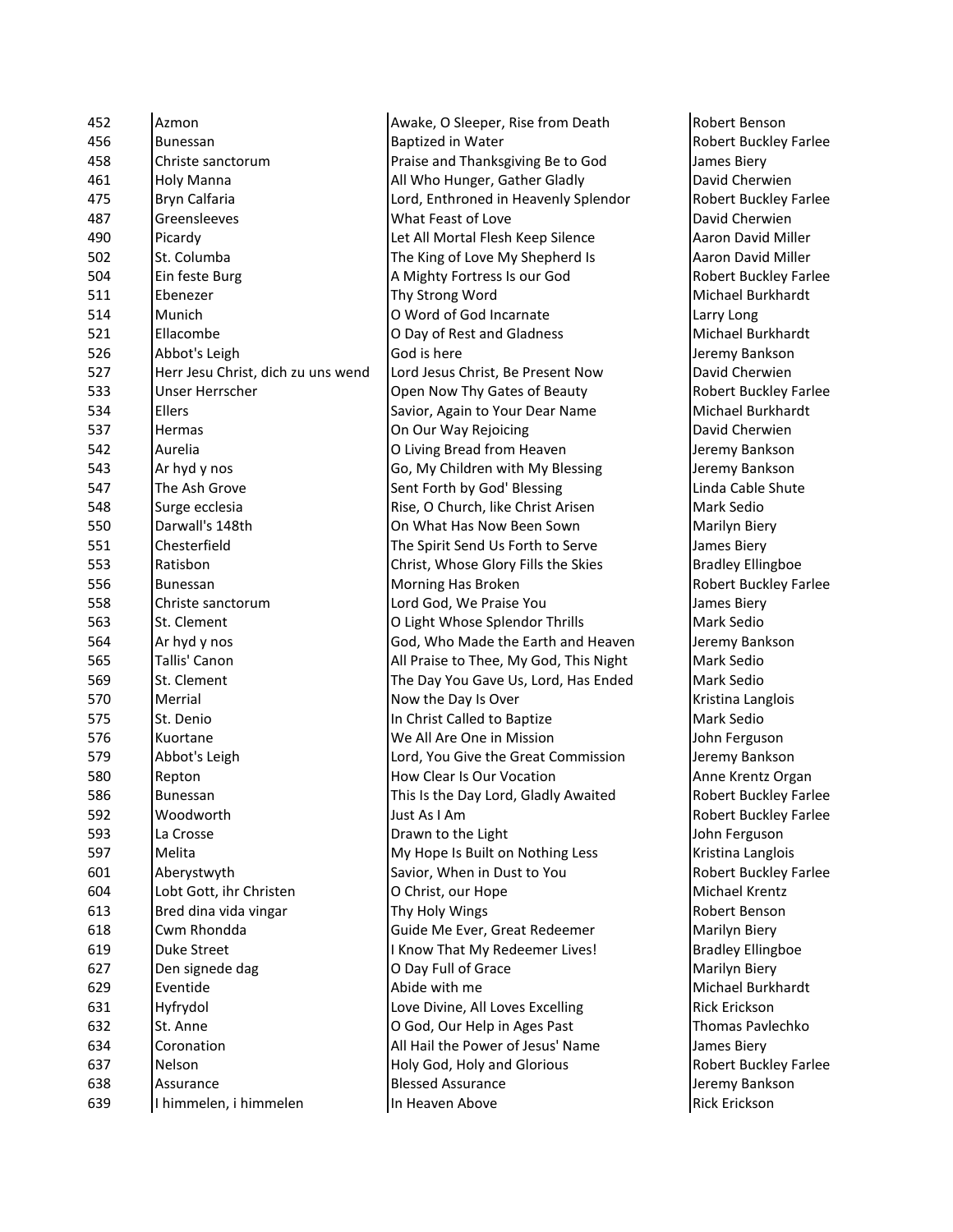| 452 | Azmon                              | Awa         |
|-----|------------------------------------|-------------|
| 456 | Bunessan                           | <b>Bap</b>  |
| 458 | Christe sanctorum                  | Prai        |
| 461 | Holy Manna                         | All \       |
| 475 | Bryn Calfaria                      | Lord        |
| 487 | Greensleeves                       | Wha         |
| 490 | Picardy                            | Let         |
| 502 | St. Columba                        | The         |
| 504 | Ein feste Burg                     | A M         |
| 511 | Ebenezer                           | Thy         |
| 514 | Munich                             | O W         |
| 521 | Ellacombe                          | O Di        |
| 526 | Abbot's Leigh                      | God         |
| 527 | Herr Jesu Christ, dich zu uns wend | Lord        |
| 533 | Unser Herrscher                    | Ope         |
| 534 | <b>Ellers</b>                      | Savi        |
| 537 | Hermas                             | On (        |
| 542 | Aurelia                            | O Li        |
| 543 | Ar hyd y nos                       | Go,         |
| 547 | The Ash Grove                      | Sent        |
| 548 | Surge ecclesia                     | Rise        |
| 550 | Darwall's 148th                    | On ۱        |
| 551 | Chesterfield                       | The         |
| 553 | Ratisbon                           | Chri        |
| 556 | Bunessan                           | Mor         |
| 558 | Christe sanctorum                  | Lord        |
| 563 | St. Clement                        | O Li        |
| 564 | Ar hyd y nos                       | God         |
| 565 | Tallis' Canon                      | All F       |
| 569 | St. Clement                        | The         |
| 570 | Merrial                            | Nov         |
| 575 | St. Denio                          | In C        |
| 576 | Kuortane                           | We          |
| 579 | Abbot's Leigh                      | Lorc        |
| 580 | Repton                             | How         |
| 586 | <b>Bunessan</b>                    | This        |
| 592 | Woodworth                          | Just        |
| 593 | La Crosse                          | Dray        |
| 597 | Melita                             | My          |
| 601 | Aberystwyth                        | Savi        |
| 604 | Lobt Gott, ihr Christen            | O Cl        |
| 613 | Bred dina vida vingar              | Thy         |
| 618 | Cwm Rhondda                        | Guio        |
| 619 | <b>Duke Street</b>                 | I Kn        |
| 627 | Den signede dag                    | O Di        |
| 629 | Eventide                           | Abio        |
| 631 | Hyfrydol                           | Love        |
| 632 | St. Anne                           | $O$ G       |
| 634 | Coronation                         | All F       |
| 637 | Nelson                             | Holy        |
| 638 | Assurance                          | <b>Bles</b> |
| 639 | I himmelen, i himmelen             | In H        |

ke, O Sleeper, Rise from Death Robert Benson tized in Water **After Accord in Series and Accord Propert** Robert Buckley Farlee se and Thanksgiving Be to God James Biery Who Hunger, Gather Gladly **David Cherwien** d, Enthroned in Heavenly Splendor **Robert Buckley Farlee** at Feast of Love **David Cherwien** All Mortal Flesh Keep Silence **Access** Aaron David Miller King of Love My Shepherd Is **A**aron David Miller lighty Fortress Is our God Robert Buckley Farlee Strong Word **Michael Burkhardt** Internate Municipal Municipal Conduction of God Incarnate Larry Long ay of Rest and Gladness Michael Burkhardt is here **Internal is here** Jeremy Bankson d Jesus Christ, Be Present Now **David Cherwien** In Now Thy Gates of Beauty **Robert Buckley Farlee** ior, Again to Your Dear Name Michael Burkhardt 537 Hermas On Our Way Rejoicing David Cherwien ving Bread from Heaven Jeremy Bankson My Children with My Blessing **Jeremy Bankson** t Forth by God' Blessing Linda Cable Shute 548 Surge ecclesia Rise, O Church, like Christ Arisen Mark Sedio What Has Now Been Sown Marilyn Biery Spirit Send Us Forth to Serve James Biery ist, Whose Glory Fills the Skies **Bradley Ellingboe** Fining Has Broken **Robert Buckley Farlee** 558 Christe sanctorum Lord God, We Praise You James Biery ght Whose Splendor Thrills Mark Sedio I, Who Made the Earth and Heaven Jeremy Bankson Praise to Thee, My God, This Night Mark Sedio Day You Gave Us, Lord, Has Ended Mark Sedio v the Day Is Over **Kristina Langlois** hrist Called to Baptize **Mark Sedio** Mark Sedio All Are One in Mission John Ferguson 1, You Give the Great Commission Jeremy Bankson v Clear Is Our Vocation Anne Krentz Organ Is the Day Lord, Gladly Awaited **Robert Buckley Farlee** As I Am Robert Buckley Farlee wn to the Light **Internal Crosses Crosses Crosses I** John Ferguson Hope Is Built on Nothing Less Kristina Langlois for, When in Dust to You Robert Buckley Farlee hrist, our Hope **Michael Krentz** Holy Wings **Robert Benson** de Me Ever, Great Redeemer Marilyn Biery ow That My Redeemer Lives! | Bradley Ellingboe ay Full of Grace **Marilyn Biery** Marilyn Biery de with me **Michael Burkhardt** e Divine, All Loves Excelling Rick Erickson od, Our Help in Ages Past Thomas Pavlechko Hail the Power of Jesus' Name James Biery y God, Holy and Glorious Robert Buckley Farlee sed Assurance **Bleef Assurance** Jeremy Bankson eaven Above **Rick Erickson**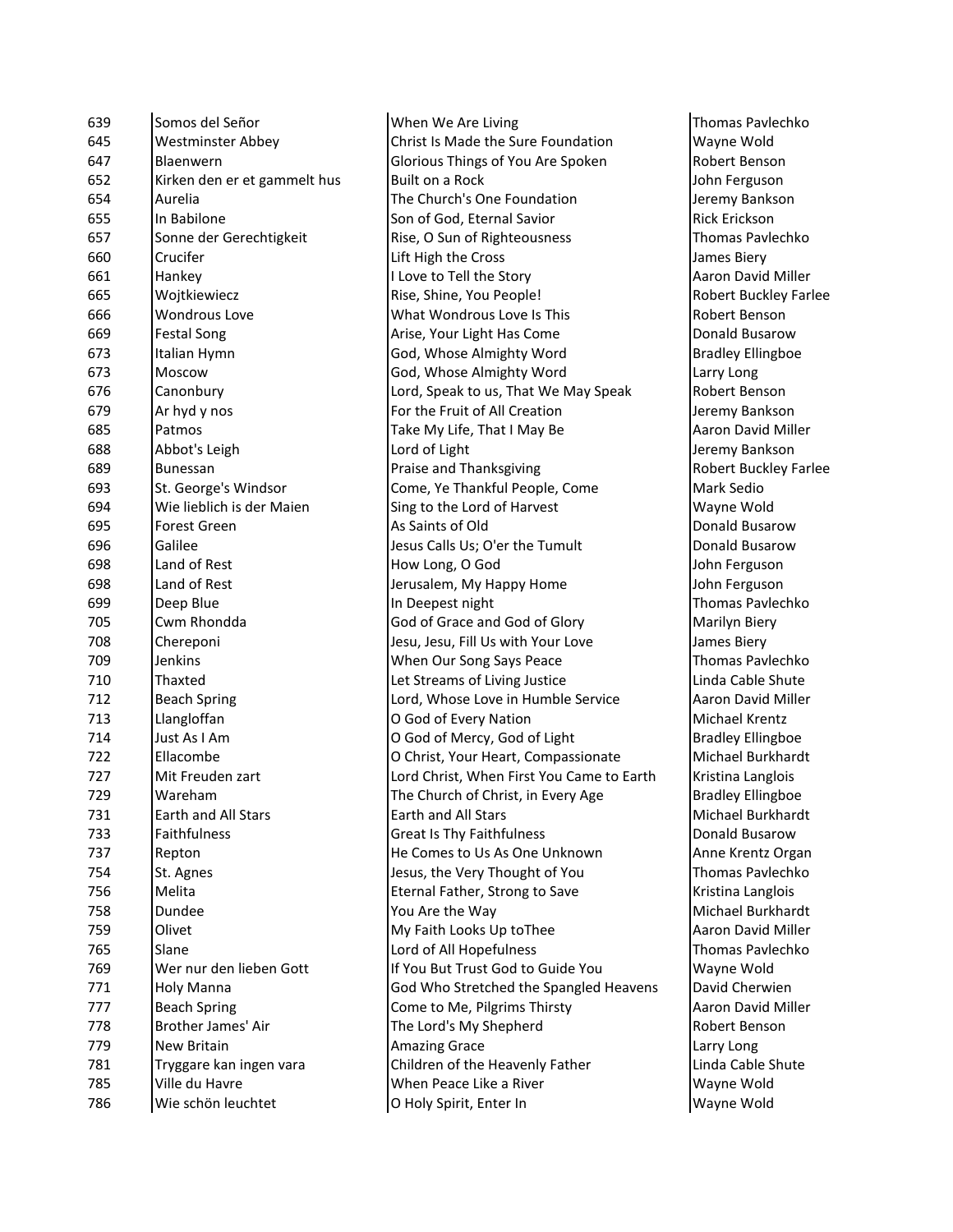| 639 | Somos del Señor              | When We Are Living                        | <b>Thomas Pavle</b>   |
|-----|------------------------------|-------------------------------------------|-----------------------|
| 645 | <b>Westminster Abbey</b>     | Christ Is Made the Sure Foundation        | Wayne Wold            |
| 647 | Blaenwern                    | Glorious Things of You Are Spoken         | <b>Robert Benso</b>   |
| 652 | Kirken den er et gammelt hus | Built on a Rock                           | John Ferguso          |
| 654 | Aurelia                      | The Church's One Foundation               | Jeremy Bank:          |
| 655 | In Babilone                  | Son of God, Eternal Savior                | Rick Erickson         |
| 657 | Sonne der Gerechtigkeit      | Rise, O Sun of Righteousness              | Thomas Pavle          |
| 660 | Crucifer                     | Lift High the Cross                       | James Biery           |
| 661 | Hankey                       | I Love to Tell the Story                  | Aaron David           |
| 665 | Wojtkiewiecz                 | Rise, Shine, You People!                  | Robert Buckl          |
| 666 | <b>Wondrous Love</b>         | What Wondrous Love Is This                | <b>Robert Benso</b>   |
| 669 | <b>Festal Song</b>           | Arise, Your Light Has Come                | Donald Busar          |
| 673 | Italian Hymn                 | God, Whose Almighty Word                  | <b>Bradley Elling</b> |
| 673 | Moscow                       | God, Whose Almighty Word                  | Larry Long            |
| 676 | Canonbury                    | Lord, Speak to us, That We May Speak      | <b>Robert Benso</b>   |
| 679 | Ar hyd y nos                 | For the Fruit of All Creation             | Jeremy Bank:          |
| 685 | Patmos                       | Take My Life, That I May Be               | Aaron David           |
| 688 | Abbot's Leigh                | Lord of Light                             | Jeremy Bank:          |
| 689 | <b>Bunessan</b>              | Praise and Thanksgiving                   | Robert Buckl          |
| 693 | St. George's Windsor         | Come, Ye Thankful People, Come            | Mark Sedio            |
| 694 | Wie lieblich is der Maien    | Sing to the Lord of Harvest               | Wayne Wold            |
| 695 | Forest Green                 | As Saints of Old                          | Donald Busar          |
| 696 | Galilee                      | Jesus Calls Us; O'er the Tumult           | Donald Busar          |
| 698 | Land of Rest                 | How Long, O God                           | John Ferguso          |
| 698 | Land of Rest                 | Jerusalem, My Happy Home                  | John Ferguso          |
| 699 | Deep Blue                    | In Deepest night                          | Thomas Pavl           |
| 705 | Cwm Rhondda                  | God of Grace and God of Glory             | Marilyn Biery         |
| 708 | Chereponi                    | Jesu, Jesu, Fill Us with Your Love        | James Biery           |
| 709 | Jenkins                      | When Our Song Says Peace                  | Thomas Pavle          |
| 710 | Thaxted                      | Let Streams of Living Justice             | Linda Cable S         |
| 712 | <b>Beach Spring</b>          | Lord, Whose Love in Humble Service        | Aaron David           |
| 713 | Llangloffan                  | O God of Every Nation                     | Michael Kren          |
| 714 | Just As I Am                 | O God of Mercy, God of Light              | <b>Bradley Elling</b> |
| 722 | Ellacombe                    | O Christ, Your Heart, Compassionate       | Michael Burk          |
| 727 | Mit Freuden zart             | Lord Christ, When First You Came to Earth | Kristina Lang         |
| 729 | Wareham                      | The Church of Christ, in Every Age        | <b>Bradley Elling</b> |
| 731 | Earth and All Stars          | Earth and All Stars                       | Michael Burk          |
| 733 | Faithfulness                 | <b>Great Is Thy Faithfulness</b>          | Donald Busar          |
| 737 | Repton                       | He Comes to Us As One Unknown             | Anne Krentz           |
| 754 | St. Agnes                    | Jesus, the Very Thought of You            | Thomas Pavle          |
| 756 | Melita                       | Eternal Father, Strong to Save            | Kristina Lang         |
| 758 | Dundee                       | You Are the Way                           | Michael Burk          |
| 759 | Olivet                       | My Faith Looks Up toThee                  | Aaron David           |
| 765 | Slane                        | Lord of All Hopefulness                   | Thomas Pavle          |
| 769 | Wer nur den lieben Gott      | If You But Trust God to Guide You         | Wayne Wold            |
| 771 | Holy Manna                   | God Who Stretched the Spangled Heavens    | David Cherwi          |
| 777 | <b>Beach Spring</b>          | Come to Me, Pilgrims Thirsty              | Aaron David           |
| 778 | Brother James' Air           | The Lord's My Shepherd                    | <b>Robert Benso</b>   |
| 779 | <b>New Britain</b>           | <b>Amazing Grace</b>                      | Larry Long            |
| 781 | Tryggare kan ingen vara      | Children of the Heavenly Father           | Linda Cable S         |
| 785 | Ville du Havre               | When Peace Like a River                   | Wayne Wold            |
| 786 | Wie schön leuchtet           |                                           | Wayne Wold            |
|     |                              | O Holy Spirit, Enter In                   |                       |

Thomas Pavlechko Wayne Wold Robert Benson John Ferguson Jeremy Bankson Rick Erickson Thomas Pavlechko James Biery Aaron David Miller Robert Buckley Farlee Robert Benson Donald Busarow Bradley Ellingboe ak Robert Benson Jeremy Bankson Aaron David Miller Jeremy Bankson Robert Buckley Farlee<br>Mark Sedio Wayne Wold Donald Busarow Donald Busarow John Ferguson John Ferguson Thomas Pavlechko Marilyn Biery Thomas Pavlechko Linda Cable Shute Aaron David Miller Michael Krentz Bradley Ellingboe Michael Burkhardt Earth Kristina Langlois Bradley Ellingboe Michael Burkhardt Donald Busarow Anne Krentz Organ Thomas Pavlechko Kristina Langlois Michael Burkhardt Aaron David Miller Thomas Pavlechko Wayne Wold avens David Cherwien Aaron David Miller Robert Benson Linda Cable Shute Wayne Wold